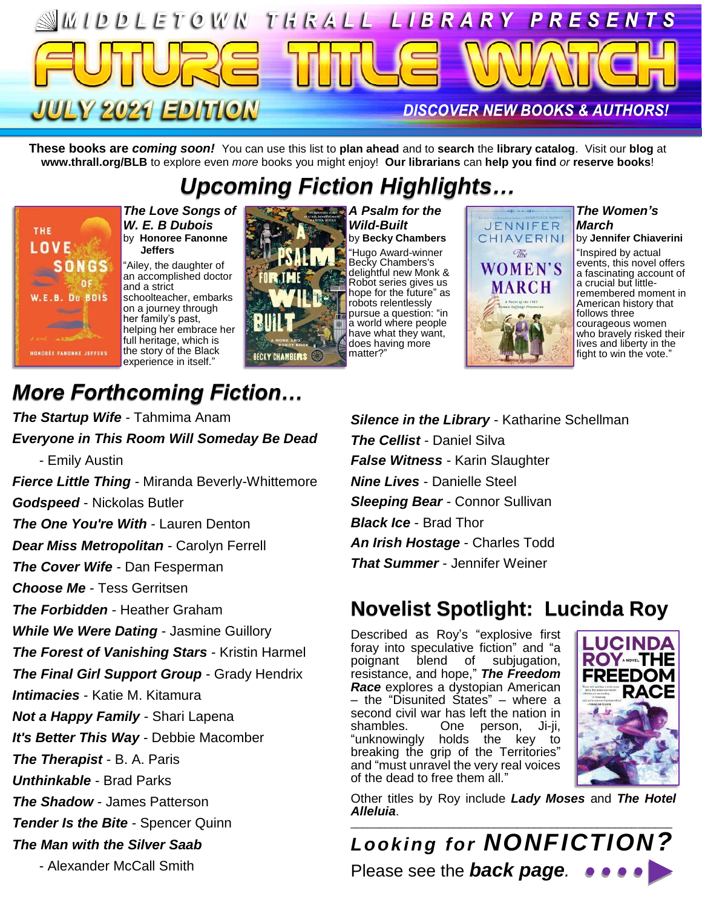

**These books are** *coming soon!* You can use this list to **plan ahead** and to **search** the **library catalog**. Visit our **blog** at **www.thrall.org/BLB** to explore even *more* books you might enjoy! **Our librarians** can **help you find** *or* **reserve books**!

# *Upcoming Fiction Highlights…*



*The Love Songs of W. E. B Dubois* by **Honoree Fanonne Jeffers**

"Ailey, the daughter of an accomplished doctor and a strict schoolteacher, embarks on a journey through her family's past, helping her embrace her full heritage, which is the story of the Black experience in itself."



*A Psalm for the Wild-Built* by **Becky Chambers** "Hugo Award-winner Becky Chambers's delightful new Monk & Robot series gives us hope for the future" as robots relentlessly pursue a question: "in a world where people have what they want, does having more matter?"



*The Women's March* by **Jennifer Chiaverini**

"Inspired by actual events, this novel offers a fascinating account of a crucial but littleremembered moment in American history that follows three courageous women who bravely risked their lives and liberty in the fight to win the vote."

## *More Forthcoming Fiction…*

*The Startup Wife* - Tahmima Anam *Everyone in This Room Will Someday Be Dead* - Emily Austin *Fierce Little Thing* - Miranda Beverly-Whittemore *Godspeed* - Nickolas Butler *The One You're With - Lauren Denton Dear Miss Metropolitan* - Carolyn Ferrell *The Cover Wife* - Dan Fesperman *Choose Me* - Tess Gerritsen *The Forbidden* - Heather Graham *While We Were Dating* - Jasmine Guillory *The Forest of Vanishing Stars* - Kristin Harmel *The Final Girl Support Group* - Grady Hendrix *Intimacies* - Katie M. Kitamura *Not a Happy Family* - Shari Lapena *It's Better This Way* - Debbie Macomber *The Therapist* - B. A. Paris *Unthinkable* - Brad Parks *The Shadow* - James Patterson *Tender Is the Bite - Spencer Quinn The Man with the Silver Saab* - Alexander McCall Smith

*Silence in the Library* - Katharine Schellman *The Cellist* - Daniel Silva *False Witness* - Karin Slaughter *Nine Lives* - Danielle Steel *Sleeping Bear* - Connor Sullivan *Black Ice* - Brad Thor *An Irish Hostage* - Charles Todd *That Summer* - Jennifer Weiner

#### **Novelist Spotlight: Lucinda Roy**

Described as Roy's "explosive first foray into speculative fiction" and "a<br>poignant blend of subjugation, blend of resistance, and hope," *The Freedom Race* explores a dystopian American – the "Disunited States" – where a second civil war has left the nation in shambles. One person, Ji-ji, "unknowingly holds the key to breaking the grip of the Territories" and "must unravel the very real voices of the dead to free them all."



Other titles by Roy include *Lady Moses* and *The Hotel Alleluia*. \_\_\_\_\_\_\_\_\_\_\_\_\_\_\_\_\_\_\_\_\_\_\_\_\_\_\_\_\_\_\_\_\_\_\_\_\_\_\_\_\_\_\_\_\_\_\_\_\_\_\_\_\_\_\_\_

*Looking for NONFICTION?* Please see the *back page.*